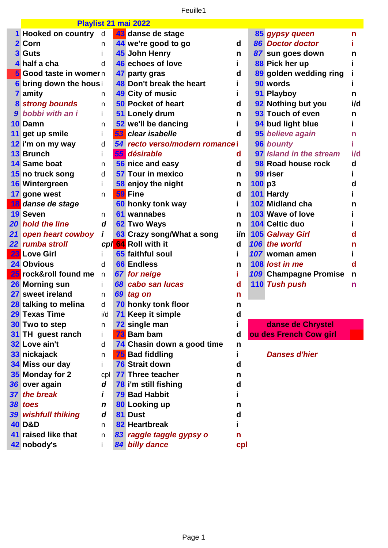Feuille1

|    | Playlist 21 mai 2022           |              |    |                                 |     |       |                         |     |
|----|--------------------------------|--------------|----|---------------------------------|-----|-------|-------------------------|-----|
|    | 1 Hooked on country            | d            |    | 43 danse de stage               |     |       | 85 gypsy queen          | n   |
|    | 2 Corn                         | n            |    | 44 we're good to go             | d   |       | 86 Doctor doctor        |     |
|    | <b>3 Guts</b>                  | Ť            |    | 45 John Henry                   | n   |       | 87 sun goes down        | n   |
|    | 4 half a cha                   | d            |    | 46 echoes of love               |     |       | 88 Pick her up          |     |
|    | 5 Good taste in womer n        |              |    | 47 party gras                   | d   |       | 89 golden wedding ring  |     |
|    | <b>6 bring down the hous i</b> |              |    | 48 Don't break the heart        |     |       | 90 words                |     |
|    | <b>7</b> amity                 | n            |    | 49 City of music                |     |       | 91 Playboy              | n   |
|    | <b>8 strong bounds</b>         | n            |    | <b>50 Pocket of heart</b>       | d   |       | 92 Nothing but you      | i/d |
|    | 9 bobbi with an i              | j.           |    | 51 Lonely drum                  | n   |       | 93 Touch of even        | n   |
|    | 10 Damn                        | n            |    | 52 we'll be dancing             |     |       | 94 bud light blue       |     |
|    | 11 get up smile                | $\mathbf{I}$ |    | <b>53</b> clear isabelle        | d   |       | 95 believe again        | n   |
|    | 12 i'm on my way               | d            |    | 54 recto verso/modern romance i |     |       | 96 bounty               |     |
|    | 13 Brunch                      | Ť            | 55 | désirable                       | d   |       | 97 Island in the stream | i/d |
|    | 14 Same boat                   | n            |    | 56 nice and easy                | d   |       | 98 Road house rock      | d   |
|    | 15 no truck song               | d            |    | 57 Tour in mexico               | n   |       | 99 riser                |     |
|    | 16 Wintergreen                 | Ť            |    | 58 enjoy the night              | n   | 100p3 |                         | d   |
|    | 17 gone west                   | n            |    | 59 Fine                         | d   |       | 101 Hardy               |     |
|    | 18 danse de stage              |              |    | 60 honky tonk way               |     |       | 102 Midland cha         | n   |
|    | <b>19 Seven</b>                | n            |    | 61 wannabes                     | n   |       | 103 Wave of love        |     |
|    | <b>20 hold the line</b>        | d            |    | 62 Two Ways                     | n.  |       | <b>104 Celtic duo</b>   |     |
| 21 | open heart cowboy              | İ            |    | 63 Crazy song/What a song       | i/n |       | 105 Galway Girl         | d   |
|    | 22 rumba stroll                |              |    | cpl 64 Roll with it             | d   |       | 106 the world           | n   |
|    | <b>23</b> Love Girl            |              |    | 65 faithful soul                |     |       | 107 woman amen          |     |
|    | 24 Obvious                     | d            |    | <b>66 Endless</b>               | n   |       | 108 lost in me          | d   |
|    | 25 rock&roll found me          | n            |    | 67 for neige                    | Ĩ.  |       | 109 Champagne Promise   | n   |
|    | 26 Morning sun                 | i.           |    | 68 cabo san lucas               | d   |       | 110 Tush push           | n   |
|    | 27 sweet ireland               | n            |    | 69 tag on                       | n   |       |                         |     |
|    | 28 talking to melina           | d            |    | 70 honky tonk floor             | n   |       |                         |     |
|    | 29 Texas Time                  | i/d          |    | <b>71 Keep it simple</b>        | d   |       |                         |     |
|    | 30 Two to step                 | n            |    | 72 single man                   |     |       | danse de Chrystel       |     |
|    | 31 TH guest ranch              | j.           |    | 73 Bam bam                      | d   |       | ou des French Cow girl  |     |
|    | 32 Love ain't                  | d            |    | 74 Chasin down a good time      | n   |       |                         |     |
|    | 33 nickajack                   | n            |    | <b>75</b> Bad fiddling          |     |       | <b>Danses d'hier</b>    |     |
|    | 34 Miss our day                | Ť            |    | <b>76 Strait down</b>           | d   |       |                         |     |
|    | 35 Monday for 2                | cpl          |    | 77 Three teacher                | n   |       |                         |     |
|    | 36 over again                  | d            |    | 78 i'm still fishing            | d   |       |                         |     |
|    | 37 the break                   | i            |    | <b>79 Bad Habbit</b>            |     |       |                         |     |
|    | 38 toes                        | $\mathbf n$  |    | 80 Looking up                   | n   |       |                         |     |
|    | <b>39 wishfull thiking</b>     | d            |    | 81 Dust                         | d   |       |                         |     |
|    | <b>40 D&amp;D</b>              | n            |    | 82 Heartbreak                   |     |       |                         |     |
|    | 41 raised like that            | n            |    | 83 raggle taggle gypsy o        | n   |       |                         |     |
|    | 42 nobody's                    | j.           |    | 84 billy dance                  | cpl |       |                         |     |
|    |                                |              |    |                                 |     |       |                         |     |